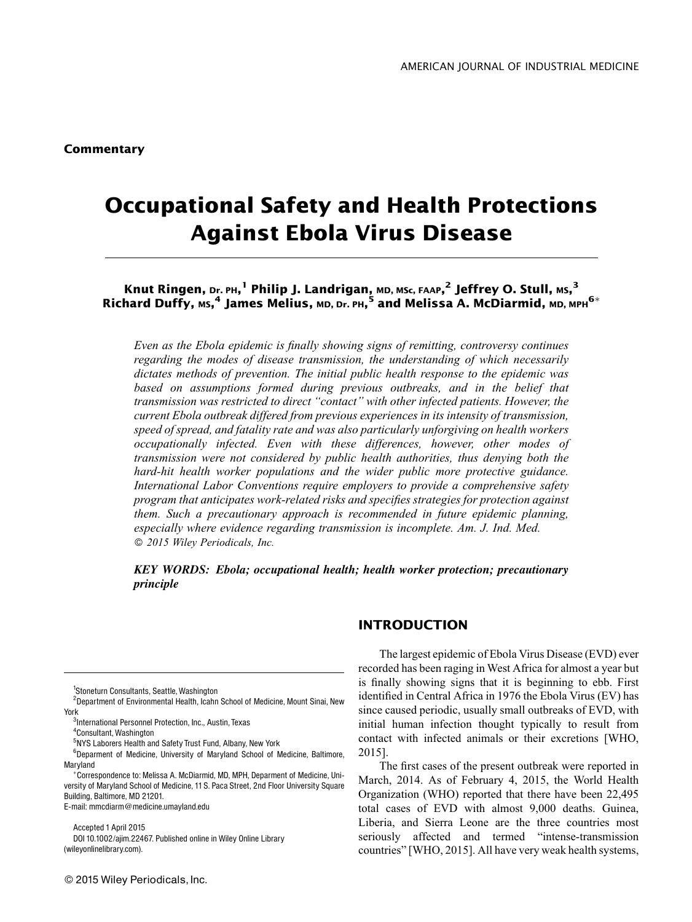# Occupational Safety and Health Protections Against Ebola Virus Disease

Knut Ringen, <sub>Dr. PH,</sub> <sup>1</sup> Philip J. Landrigan, мо, мѕс, ғаар,<sup>2</sup> Jeffrey O. Stull, мѕ,<sup>3</sup> Richard Duffy, <code>ms,4</code> James Melius, <code>md,</code> <code>Dr. PH,</code>  $^5$  and Melissa A. McDiarmid, <code>md,</code> <code>mpf</code>

Even as the Ebola epidemic is finally showing signs of remitting, controversy continues regarding the modes of disease transmission, the understanding of which necessarily dictates methods of prevention. The initial public health response to the epidemic was based on assumptions formed during previous outbreaks, and in the belief that transmission was restricted to direct "contact" with other infected patients. However, the current Ebola outbreak differed from previous experiences in its intensity of transmission, speed of spread, and fatality rate and was also particularly unforgiving on health workers occupationally infected. Even with these differences, however, other modes of transmission were not considered by public health authorities, thus denying both the hard-hit health worker populations and the wider public more protective guidance. International Labor Conventions require employers to provide a comprehensive safety program that anticipates work-related risks and specifies strategies for protection against them. Such a precautionary approach is recommended in future epidemic planning, especially where evidence regarding transmission is incomplete. Am. J. Ind. Med. 2015 Wiley Periodicals, Inc.

#### KEY WORDS: Ebola; occupational health; health worker protection; precautionary principle

INTRODUCTION

<sup>1</sup>Stoneturn Consultants, Seattle, Washington

2 Department of Environmental Health, Icahn School of Medicine, Mount Sinai, New York

5 NYS Laborers Health and Safety Trust Fund, Albany, New York

<sup>6</sup>Deparment of Medicine, University of Maryland School of Medicine, Baltimore, Maryland

Correspondence to: Melissa A. McDiarmid, MD, MPH, Deparment of Medicine, University of Maryland School of Medicine, 11 S. Paca Street, 2nd Floor University Square Building, Baltimore, MD 21201.

E-mail: mmcdiarm@medicine.umayland.edu

Accepted 1 April 2015 DOI 10.1002/ajim.22467. Published online in Wiley Online Library (wileyonlinelibrary.com).

recorded has been raging in West Africa for almost a year but is finally showing signs that it is beginning to ebb. First identified in Central Africa in 1976 the Ebola Virus (EV) has since caused periodic, usually small outbreaks of EVD, with initial human infection thought typically to result from contact with infected animals or their excretions [WHO, 2015].

The largest epidemic of Ebola Virus Disease (EVD) ever

The first cases of the present outbreak were reported in March, 2014. As of February 4, 2015, the World Health Organization (WHO) reported that there have been 22,495 total cases of EVD with almost 9,000 deaths. Guinea, Liberia, and Sierra Leone are the three countries most seriously affected and termed "intense-transmission countries" [WHO, 2015]. All have very weak health systems,

<sup>&</sup>lt;sup>3</sup>International Personnel Protection, Inc., Austin, Texas

<sup>4</sup> Consultant, Washington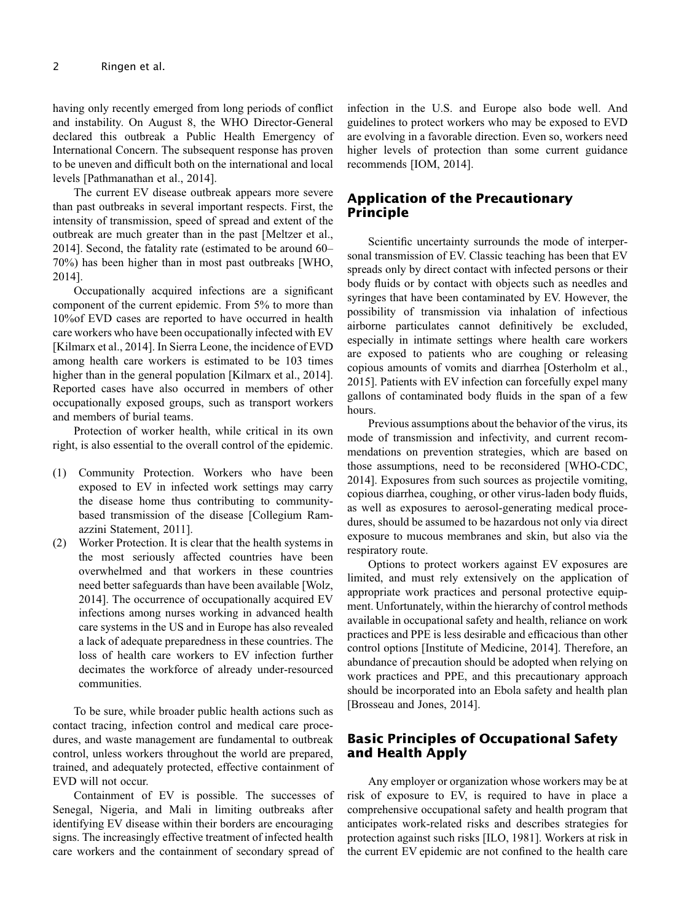having only recently emerged from long periods of conflict and instability. On August 8, the WHO Director-General declared this outbreak a Public Health Emergency of International Concern. The subsequent response has proven to be uneven and difficult both on the international and local levels [Pathmanathan et al., 2014].

The current EV disease outbreak appears more severe than past outbreaks in several important respects. First, the intensity of transmission, speed of spread and extent of the outbreak are much greater than in the past [Meltzer et al., 2014]. Second, the fatality rate (estimated to be around 60– 70%) has been higher than in most past outbreaks [WHO, 2014].

Occupationally acquired infections are a significant component of the current epidemic. From 5% to more than 10%of EVD cases are reported to have occurred in health care workers who have been occupationally infected with EV [Kilmarx et al., 2014]. In Sierra Leone, the incidence of EVD among health care workers is estimated to be 103 times higher than in the general population [Kilmarx et al., 2014]. Reported cases have also occurred in members of other occupationally exposed groups, such as transport workers and members of burial teams.

Protection of worker health, while critical in its own right, is also essential to the overall control of the epidemic.

- (1) Community Protection. Workers who have been exposed to EV in infected work settings may carry the disease home thus contributing to communitybased transmission of the disease [Collegium Ramazzini Statement, 2011].
- (2) Worker Protection. It is clear that the health systems in the most seriously affected countries have been overwhelmed and that workers in these countries need better safeguards than have been available [Wolz, 2014]. The occurrence of occupationally acquired EV infections among nurses working in advanced health care systems in the US and in Europe has also revealed a lack of adequate preparedness in these countries. The loss of health care workers to EV infection further decimates the workforce of already under-resourced communities.

To be sure, while broader public health actions such as contact tracing, infection control and medical care procedures, and waste management are fundamental to outbreak control, unless workers throughout the world are prepared, trained, and adequately protected, effective containment of EVD will not occur.

Containment of EV is possible. The successes of Senegal, Nigeria, and Mali in limiting outbreaks after identifying EV disease within their borders are encouraging signs. The increasingly effective treatment of infected health care workers and the containment of secondary spread of

infection in the U.S. and Europe also bode well. And guidelines to protect workers who may be exposed to EVD are evolving in a favorable direction. Even so, workers need higher levels of protection than some current guidance recommends [IOM, 2014].

## Application of the Precautionary Principle

Scientific uncertainty surrounds the mode of interpersonal transmission of EV. Classic teaching has been that EV spreads only by direct contact with infected persons or their body fluids or by contact with objects such as needles and syringes that have been contaminated by EV. However, the possibility of transmission via inhalation of infectious airborne particulates cannot definitively be excluded, especially in intimate settings where health care workers are exposed to patients who are coughing or releasing copious amounts of vomits and diarrhea [Osterholm et al., 2015]. Patients with EV infection can forcefully expel many gallons of contaminated body fluids in the span of a few hours.

Previous assumptions about the behavior of the virus, its mode of transmission and infectivity, and current recommendations on prevention strategies, which are based on those assumptions, need to be reconsidered [WHO-CDC, 2014]. Exposures from such sources as projectile vomiting, copious diarrhea, coughing, or other virus-laden body fluids, as well as exposures to aerosol-generating medical procedures, should be assumed to be hazardous not only via direct exposure to mucous membranes and skin, but also via the respiratory route.

Options to protect workers against EV exposures are limited, and must rely extensively on the application of appropriate work practices and personal protective equipment. Unfortunately, within the hierarchy of control methods available in occupational safety and health, reliance on work practices and PPE is less desirable and efficacious than other control options [Institute of Medicine, 2014]. Therefore, an abundance of precaution should be adopted when relying on work practices and PPE, and this precautionary approach should be incorporated into an Ebola safety and health plan [Brosseau and Jones, 2014].

# Basic Principles of Occupational Safety and Health Apply

Any employer or organization whose workers may be at risk of exposure to EV, is required to have in place a comprehensive occupational safety and health program that anticipates work-related risks and describes strategies for protection against such risks [ILO, 1981]. Workers at risk in the current EV epidemic are not confined to the health care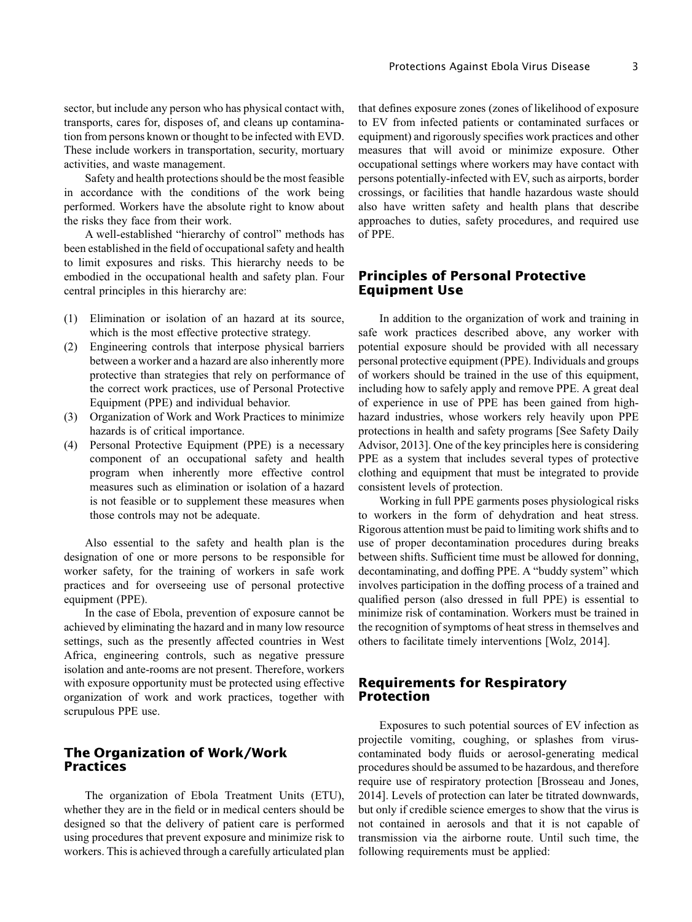sector, but include any person who has physical contact with, transports, cares for, disposes of, and cleans up contamination from persons known or thought to be infected with EVD. These include workers in transportation, security, mortuary activities, and waste management.

Safety and health protections should be the most feasible in accordance with the conditions of the work being performed. Workers have the absolute right to know about the risks they face from their work.

A well-established "hierarchy of control" methods has been established in the field of occupational safety and health to limit exposures and risks. This hierarchy needs to be embodied in the occupational health and safety plan. Four central principles in this hierarchy are:

- (1) Elimination or isolation of an hazard at its source, which is the most effective protective strategy.
- (2) Engineering controls that interpose physical barriers between a worker and a hazard are also inherently more protective than strategies that rely on performance of the correct work practices, use of Personal Protective Equipment (PPE) and individual behavior.
- (3) Organization of Work and Work Practices to minimize hazards is of critical importance.
- (4) Personal Protective Equipment (PPE) is a necessary component of an occupational safety and health program when inherently more effective control measures such as elimination or isolation of a hazard is not feasible or to supplement these measures when those controls may not be adequate.

Also essential to the safety and health plan is the designation of one or more persons to be responsible for worker safety, for the training of workers in safe work practices and for overseeing use of personal protective equipment (PPE).

In the case of Ebola, prevention of exposure cannot be achieved by eliminating the hazard and in many low resource settings, such as the presently affected countries in West Africa, engineering controls, such as negative pressure isolation and ante-rooms are not present. Therefore, workers with exposure opportunity must be protected using effective organization of work and work practices, together with scrupulous PPE use.

## The Organization of Work/Work Practices

The organization of Ebola Treatment Units (ETU), whether they are in the field or in medical centers should be designed so that the delivery of patient care is performed using procedures that prevent exposure and minimize risk to workers. This is achieved through a carefully articulated plan

that defines exposure zones (zones of likelihood of exposure to EV from infected patients or contaminated surfaces or equipment) and rigorously specifies work practices and other measures that will avoid or minimize exposure. Other occupational settings where workers may have contact with persons potentially-infected with EV, such as airports, border crossings, or facilities that handle hazardous waste should also have written safety and health plans that describe approaches to duties, safety procedures, and required use of PPE.

## Principles of Personal Protective Equipment Use

In addition to the organization of work and training in safe work practices described above, any worker with potential exposure should be provided with all necessary personal protective equipment (PPE). Individuals and groups of workers should be trained in the use of this equipment, including how to safely apply and remove PPE. A great deal of experience in use of PPE has been gained from highhazard industries, whose workers rely heavily upon PPE protections in health and safety programs [See Safety Daily Advisor, 2013]. One of the key principles here is considering PPE as a system that includes several types of protective clothing and equipment that must be integrated to provide consistent levels of protection.

Working in full PPE garments poses physiological risks to workers in the form of dehydration and heat stress. Rigorous attention must be paid to limiting work shifts and to use of proper decontamination procedures during breaks between shifts. Sufficient time must be allowed for donning, decontaminating, and doffing PPE. A "buddy system" which involves participation in the doffing process of a trained and qualified person (also dressed in full PPE) is essential to minimize risk of contamination. Workers must be trained in the recognition of symptoms of heat stress in themselves and others to facilitate timely interventions [Wolz, 2014].

#### Requirements for Respiratory Protection

Exposures to such potential sources of EV infection as projectile vomiting, coughing, or splashes from viruscontaminated body fluids or aerosol-generating medical procedures should be assumed to be hazardous, and therefore require use of respiratory protection [Brosseau and Jones, 2014]. Levels of protection can later be titrated downwards, but only if credible science emerges to show that the virus is not contained in aerosols and that it is not capable of transmission via the airborne route. Until such time, the following requirements must be applied: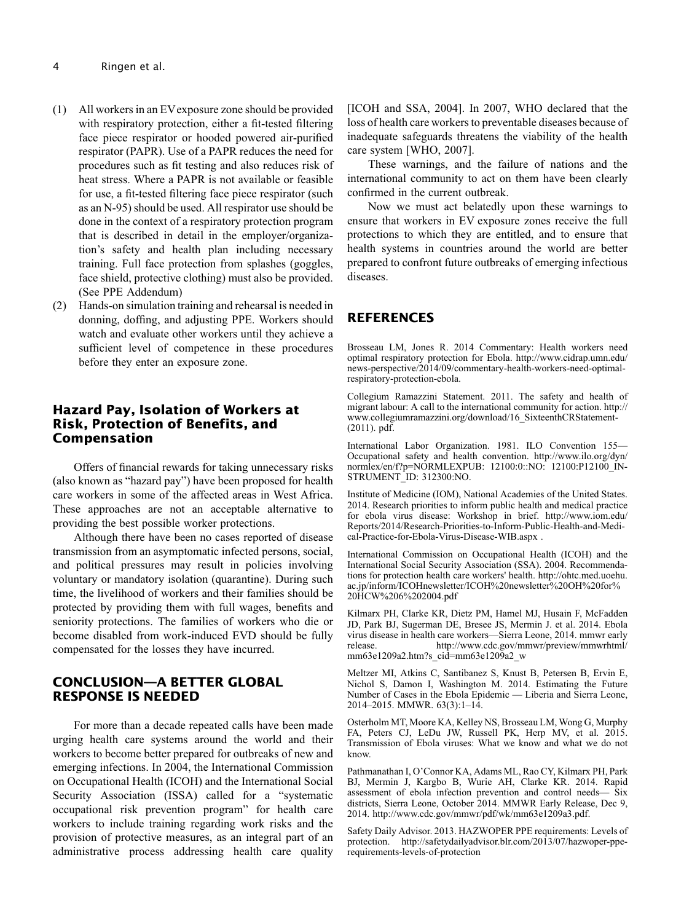- (1) All workers in an EVexposure zone should be provided with respiratory protection, either a fit-tested filtering face piece respirator or hooded powered air-purified respirator (PAPR). Use of a PAPR reduces the need for procedures such as fit testing and also reduces risk of heat stress. Where a PAPR is not available or feasible for use, a fit-tested filtering face piece respirator (such as an N-95) should be used. All respirator use should be done in the context of a respiratory protection program that is described in detail in the employer/organization's safety and health plan including necessary training. Full face protection from splashes (goggles, face shield, protective clothing) must also be provided. (See PPE Addendum)
- (2) Hands-on simulation training and rehearsal is needed in donning, doffing, and adjusting PPE. Workers should watch and evaluate other workers until they achieve a sufficient level of competence in these procedures before they enter an exposure zone.

### Hazard Pay, Isolation of Workers at Risk, Protection of Benefits, and Compensation

Offers of financial rewards for taking unnecessary risks (also known as "hazard pay") have been proposed for health care workers in some of the affected areas in West Africa. These approaches are not an acceptable alternative to providing the best possible worker protections.

Although there have been no cases reported of disease transmission from an asymptomatic infected persons, social, and political pressures may result in policies involving voluntary or mandatory isolation (quarantine). During such time, the livelihood of workers and their families should be protected by providing them with full wages, benefits and seniority protections. The families of workers who die or become disabled from work-induced EVD should be fully compensated for the losses they have incurred.

#### CONCLUSION—A BETTER GLOBAL RESPONSE IS NEEDED

For more than a decade repeated calls have been made urging health care systems around the world and their workers to become better prepared for outbreaks of new and emerging infections. In 2004, the International Commission on Occupational Health (ICOH) and the International Social Security Association (ISSA) called for a "systematic occupational risk prevention program" for health care workers to include training regarding work risks and the provision of protective measures, as an integral part of an administrative process addressing health care quality

[ICOH and SSA, 2004]. In 2007, WHO declared that the loss of health care workers to preventable diseases because of inadequate safeguards threatens the viability of the health care system [WHO, 2007].

These warnings, and the failure of nations and the international community to act on them have been clearly confirmed in the current outbreak.

Now we must act belatedly upon these warnings to ensure that workers in EV exposure zones receive the full protections to which they are entitled, and to ensure that health systems in countries around the world are better prepared to confront future outbreaks of emerging infectious diseases.

# REFERENCES

Brosseau LM, Jones R. 2014 Commentary: Health workers need optimal respiratory protection for Ebola. [http://www.cidrap.umn.edu/](http://www.cidrap.umn.edu/news&x2010;perspective/2014/09/commentary&x2010;health&x2010;workers&x2010;need&x2010;optimal&x2010;respiratory&x2010;protection&x2010;ebola) [news-perspective/2014/09/commentary-health-workers-need-optimal](http://www.cidrap.umn.edu/news&x2010;perspective/2014/09/commentary&x2010;health&x2010;workers&x2010;need&x2010;optimal&x2010;respiratory&x2010;protection&x2010;ebola)[respiratory-protection-ebola](http://www.cidrap.umn.edu/news&x2010;perspective/2014/09/commentary&x2010;health&x2010;workers&x2010;need&x2010;optimal&x2010;respiratory&x2010;protection&x2010;ebola).

Collegium Ramazzini Statement. 2011. The safety and health of migrant labour: A call to the international community for action. http:// www.collegiumramazzini.org/download/16\_SixteenthCRStatement- (2011). pdf.

International Labor Organization. 1981. ILO Convention 155— Occupational safety and health convention. http://www.ilo.org/dyn/ normlex/en/f?p=NORMLEXPUB: 12100:0::NO: 12100:P12100\_IN-STRUMENT\_ID: 312300:NO.

Institute of Medicine (IOM), National Academies of the United States. 2014. Research priorities to inform public health and medical practice for ebola virus disease: Workshop in brief. http://www.iom.edu/ Reports/2014/Research-Priorities-to-Inform-Public-Health-and-Medical-Practice-for-Ebola-Virus-Disease-WIB.aspx .

International Commission on Occupational Health (ICOH) and the International Social Security Association (SSA). 2004. Recommendations for protection health care workers' health. http://ohtc.med.uoehu. ac.jp/inform/ICOHnewsletter/ICOH%20newsletter%20OH%20for% 20HCW%206%202004.pdf

Kilmarx PH, Clarke KR, Dietz PM, Hamel MJ, Husain F, McFadden JD, Park BJ, Sugerman DE, Bresee JS, Mermin J. et al. 2014. Ebola virus disease in health care workers—Sierra Leone, 2014. mmwr early release. http://www.cdc.gov/mmwr/preview/mmwrhtml/ mm63e1209a2.htm?s\_cid=mm63e1209a2\_w

Meltzer MI, Atkins C, Santibanez S, Knust B, Petersen B, Ervin E, Nichol S, Damon I, Washington M. 2014. Estimating the Future Number of Cases in the Ebola Epidemic — Liberia and Sierra Leone, 2014–2015. MMWR. 63(3):1–14.

Osterholm MT, Moore KA, Kelley NS, Brosseau LM, Wong G, Murphy FA, Peters CJ, LeDu JW, Russell PK, Herp MV, et al. 2015. Transmission of Ebola viruses: What we know and what we do not know.

Pathmanathan I, O'Connor KA, Adams ML, Rao CY, Kilmarx PH, Park BJ, Mermin J, Kargbo B, Wurie AH, Clarke KR. 2014. Rapid assessment of ebola infection prevention and control needs— Six districts, Sierra Leone, October 2014. MMWR Early Release, Dec 9, 2014. http://www.cdc.gov/mmwr/pdf/wk/mm63e1209a3.pdf.

Safety Daily Advisor. 2013. HAZWOPER PPE requirements: Levels of protection. http://safetydailyadvisor.blr.com/2013/07/hazwoper-pperequirements-levels-of-protection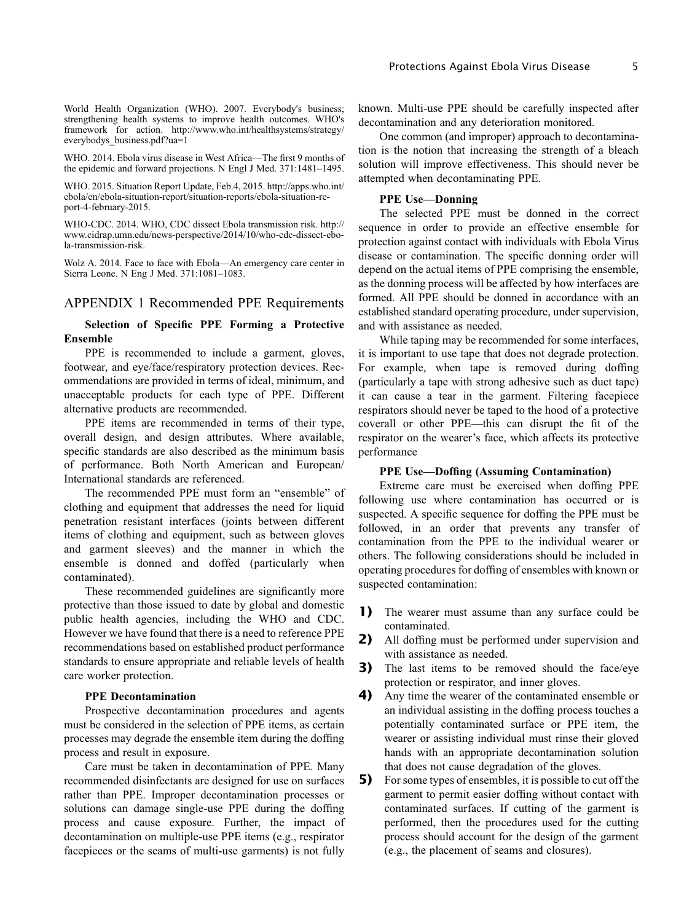World Health Organization (WHO). 2007. Everybody's business; strengthening health systems to improve health outcomes. WHO's framework for action. http://www.who.int/healthsystems/strategy/ everybodys\_business.pdf?ua=1

WHO. 2014. Ebola virus disease in West Africa—The first 9 months of the epidemic and forward projections. N Engl J Med. 371:1481–1495.

WHO. 2015. Situation Report Update, Feb.4, 2015. http://apps.who.int/ ebola/en/ebola-situation-report/situation-reports/ebola-situation-report-4-february-2015.

WHO-CDC. 2014. WHO, CDC dissect Ebola transmission risk. http:// www.cidrap.umn.edu/news-perspective/2014/10/who-cdc-dissect-ebola-transmission-risk.

Wolz A. 2014. Face to face with Ebola—An emergency care center in Sierra Leone. N Eng J Med. 371:1081–1083.

#### APPENDIX 1 Recommended PPE Requirements

# Selection of Specific PPE Forming a Protective

PPE is recommended to include a garment, gloves, footwear, and eye/face/respiratory protection devices. Recommendations are provided in terms of ideal, minimum, and unacceptable products for each type of PPE. Different alternative products are recommended.

PPE items are recommended in terms of their type, overall design, and design attributes. Where available, specific standards are also described as the minimum basis of performance. Both North American and European/ International standards are referenced.

The recommended PPE must form an "ensemble" of clothing and equipment that addresses the need for liquid penetration resistant interfaces (joints between different items of clothing and equipment, such as between gloves and garment sleeves) and the manner in which the ensemble is donned and doffed (particularly when contaminated).

These recommended guidelines are significantly more protective than those issued to date by global and domestic public health agencies, including the WHO and CDC. However we have found that there is a need to reference PPE recommendations based on established product performance standards to ensure appropriate and reliable levels of health care worker protection.

Prospective decontamination procedures and agents must be considered in the selection of PPE items, as certain processes may degrade the ensemble item during the doffing process and result in exposure.

Care must be taken in decontamination of PPE. Many recommended disinfectants are designed for use on surfaces rather than PPE. Improper decontamination processes or solutions can damage single-use PPE during the doffing process and cause exposure. Further, the impact of decontamination on multiple-use PPE items (e.g., respirator facepieces or the seams of multi-use garments) is not fully

known. Multi-use PPE should be carefully inspected after decontamination and any deterioration monitored.

One common (and improper) approach to decontamination is the notion that increasing the strength of a bleach solution will improve effectiveness. This should never be attempted when decontaminating PPE.

#### PPE Use—Donning

The selected PPE must be donned in the correct sequence in order to provide an effective ensemble for protection against contact with individuals with Ebola Virus disease or contamination. The specific donning order will depend on the actual items of PPE comprising the ensemble, as the donning process will be affected by how interfaces are formed. All PPE should be donned in accordance with an established standard operating procedure, under supervision, and with assistance as needed.

While taping may be recommended for some interfaces, it is important to use tape that does not degrade protection. For example, when tape is removed during doffing (particularly a tape with strong adhesive such as duct tape) it can cause a tear in the garment. Filtering facepiece respirators should never be taped to the hood of a protective coverall or other PPE—this can disrupt the fit of the respirator on the wearer's face, which affects its protective performance

#### PPE Use—Doffing (Assuming Contamination)

Extreme care must be exercised when doffing PPE following use where contamination has occurred or is suspected. A specific sequence for doffing the PPE must be followed, in an order that prevents any transfer of contamination from the PPE to the individual wearer or others. The following considerations should be included in operating procedures for doffing of ensembles with known or suspected contamination:

- 1) The wearer must assume than any surface could be contaminated.
- 2) All doffing must be performed under supervision and with assistance as needed.
- 3) The last items to be removed should the face/eye protection or respirator, and inner gloves.
- 4) Any time the wearer of the contaminated ensemble or an individual assisting in the doffing process touches a potentially contaminated surface or PPE item, the wearer or assisting individual must rinse their gloved hands with an appropriate decontamination solution that does not cause degradation of the gloves.
- 5) For some types of ensembles, it is possible to cut off the garment to permit easier doffing without contact with contaminated surfaces. If cutting of the garment is performed, then the procedures used for the cutting process should account for the design of the garment (e.g., the placement of seams and closures).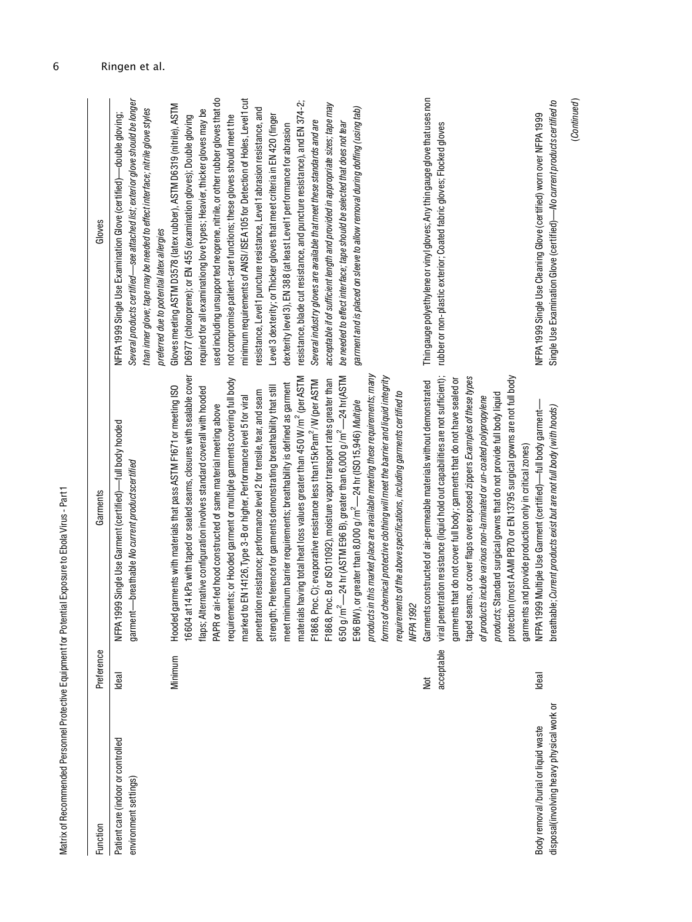| ,<br>í                                |
|---------------------------------------|
| ı<br>֧֦֧֦֧֦֧֦֧֦֧֦֧֦֧֧֦֧ׅ֧֦֧֦֧֚֬֜֓֓֜֓֓ |
| J<br>ı                                |
| i<br>ı<br>l                           |
| i                                     |
| ı                                     |
| י<br>Ì                                |
| l                                     |
| ֚֬֕<br>Mall<br>:                      |

| Function                                                    | Preference               | Garments                                                                                                                                                                                                                                                                                                                                                                                 | Gloves                                                                                                                                                                                                                                                                              |
|-------------------------------------------------------------|--------------------------|------------------------------------------------------------------------------------------------------------------------------------------------------------------------------------------------------------------------------------------------------------------------------------------------------------------------------------------------------------------------------------------|-------------------------------------------------------------------------------------------------------------------------------------------------------------------------------------------------------------------------------------------------------------------------------------|
| Patient care (indoor or controlled<br>environment settings) | Ideal                    | NFPA 1999 Single Use Garment (certified)—full body hooded<br>garment—breathable No current productscertified                                                                                                                                                                                                                                                                             | Several products certified—see attached list; exterior glove should be longer<br>than inner glove; tape may be needed to effect interface; nitrile glove styles<br>NFPA 1999 Single Use Examination Glove (certified)—double gloving;<br>preferred due to potential latex allergies |
|                                                             | Minimum                  | at 14 kPa with taped or sealed seams, closures with sealable cover<br>Hooded garments with materials that pass ASTM F1671 or meeting ISO<br>flaps; Alternative configuration involves standard coverall with hooded<br>16604                                                                                                                                                             | Gloves meeting ASTM D3578 (latex rubber), ASTM D6319 (nitrile), ASTM<br>required for all examinationg love types; Heavier, thicker gloves may be<br>D6977 (chloroprene); or EN 455 (examination gloves); Double gloving                                                             |
|                                                             |                          | requirements; or Hooded garment or multiple garments covering full body<br>marked to EN 14126, Type 3-B or higher, Performance level 5 for viral<br>PAPR or air-fed hood constructed of same material meeting above                                                                                                                                                                      | used including unsupported neoprene, nitrile, or other rubber gloves that do<br>minimum requirements of ANSI/ISEA 105 for Detection of Holes, Level1 cut<br>not compromise patient-care functions; these gloves should meet the                                                     |
|                                                             |                          | meet minimum barrier requirements; breathability is defined as garment<br>strength; Preference for garments demonstrating breathability that still<br>penetration resistance; performance level 2 for tensile, tear, and seam                                                                                                                                                            | resistance, Level1 puncture resistance, Level1 abrasion resistance, and<br>Level 3 dexterity; or Thicker gloves that meet criteria in EN 420 (finger<br>dexterity level 3), EN 388 (at least Level1 performance for abrasion                                                        |
|                                                             |                          | ials having total heat loss values greater than 450 W/m <sup>2</sup> (per ASTM<br>, Proc. C); evaporative resistance less than 15kPam <sup>2</sup> /W (per ASTM<br>materia<br>F1868,                                                                                                                                                                                                     | resistance, blade cut resistance, and puncture resistance), and EN 374-2;<br>Several industry gloves are available that meet these standards and are                                                                                                                                |
|                                                             |                          | 650 g/m <sup>2</sup> —24 hr (ASTM E96 B), greater than 6,000 g/m <sup>2</sup> —24 hr (ASTM<br>Proc. B or ISO 11092), moisture vapor transport rates greater than<br>E96 BW), or greater than 8,000 g/m <sup>2</sup> -24 hr (ISO 15,946) Multiple<br>F1868,                                                                                                                               | acceptable if of sufficient length and provided in appropriate sizes; tape may<br>garment and is placed on sleeve to allow removal during doffing (using tab)<br>be needed to effect interface; tape should be selected that does not tear                                          |
|                                                             |                          | products in this market place are available meeting these requirements; many<br>forms of chemical protective clothing will meet the barrier and liquid integrity<br>requirements of the above specifications, including garments certified to<br><b>NFPA 1992</b>                                                                                                                        |                                                                                                                                                                                                                                                                                     |
|                                                             | acceptable<br><b>Not</b> | viral penetration resistance (liquid hold out capabilities are not sufficient);<br>taped seams, or cover flaps over exposed zippers Examples of these types<br>garments that do not cover full body; garments that do not have sealed or<br>Garments constructed of air-permeable materials without demonstrated<br>of products include various non-laminated or un-coated polypropylene | Thin gauge polyethylene or vinyl gloves; Any thin gauge glove that uses non<br>rubber or non-plastic exterior; Coated fabric gloves; Flocked gloves                                                                                                                                 |
| Body removal/burial or liquid waste                         | Ideal                    | protection (most AAMI PB70 or EN 13795 surgical gowns are not full body<br>products; Standard surgical gowns that do not provide full body liquid<br>1999 Multiple Use Garment (certified)—full body garment—<br>garments and provide production only in critical zones)<br>NFPA <sub>1</sub>                                                                                            | NFPA 1999 Single Use Cleaning Glove (certified) worn over NFPA 1999                                                                                                                                                                                                                 |
| disposal(involving heavy physical work or                   |                          | breathable; Current products exist but are not full body (with hoods)                                                                                                                                                                                                                                                                                                                    | Single Use Examination Glove (certified)- No current products certified to                                                                                                                                                                                                          |
|                                                             |                          |                                                                                                                                                                                                                                                                                                                                                                                          | (Continued)                                                                                                                                                                                                                                                                         |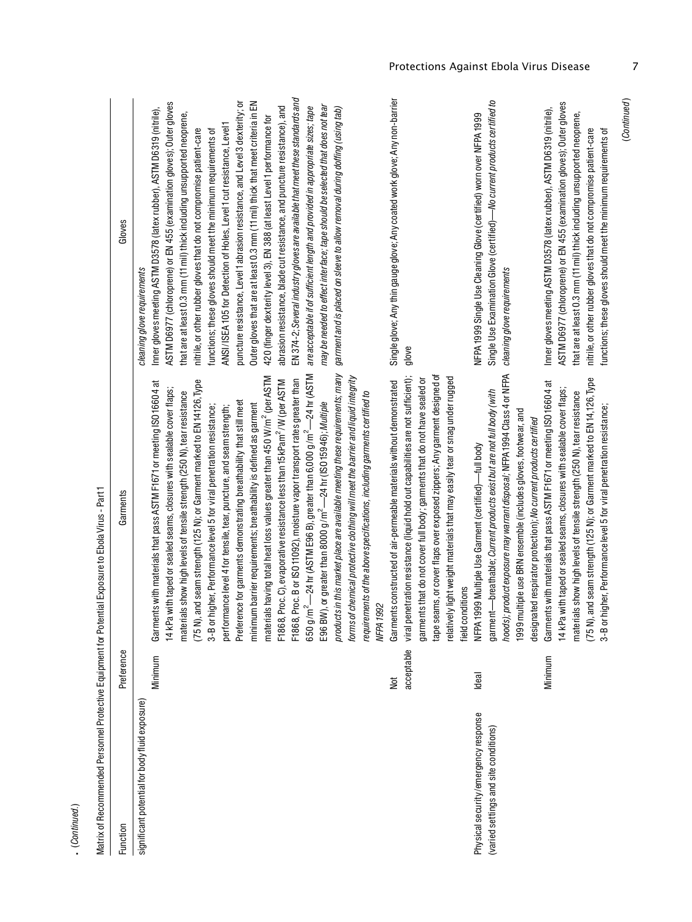. (Continued.) (Continued.)

| :                                                                                                    |  |
|------------------------------------------------------------------------------------------------------|--|
|                                                                                                      |  |
| C                                                                                                    |  |
| ī<br>i<br>Si                                                                                         |  |
| $\frac{3}{2}$                                                                                        |  |
|                                                                                                      |  |
|                                                                                                      |  |
|                                                                                                      |  |
|                                                                                                      |  |
|                                                                                                      |  |
|                                                                                                      |  |
| ن<br>ع<br>j<br>C                                                                                     |  |
|                                                                                                      |  |
|                                                                                                      |  |
|                                                                                                      |  |
|                                                                                                      |  |
|                                                                                                      |  |
|                                                                                                      |  |
| l                                                                                                    |  |
| al Lyn                                                                                               |  |
|                                                                                                      |  |
|                                                                                                      |  |
|                                                                                                      |  |
|                                                                                                      |  |
| $\frac{1}{r}$<br>l                                                                                   |  |
|                                                                                                      |  |
|                                                                                                      |  |
|                                                                                                      |  |
|                                                                                                      |  |
|                                                                                                      |  |
|                                                                                                      |  |
|                                                                                                      |  |
|                                                                                                      |  |
| יונום בר<br>$\mathcal{L}(\mathcal{L})$ and $\mathcal{L}(\mathcal{L})$ and $\mathcal{L}(\mathcal{L})$ |  |
|                                                                                                      |  |
|                                                                                                      |  |
|                                                                                                      |  |
|                                                                                                      |  |
|                                                                                                      |  |
|                                                                                                      |  |
|                                                                                                      |  |
|                                                                                                      |  |
|                                                                                                      |  |
|                                                                                                      |  |
|                                                                                                      |  |
|                                                                                                      |  |
| ſ<br>1                                                                                               |  |
|                                                                                                      |  |
|                                                                                                      |  |
|                                                                                                      |  |
|                                                                                                      |  |
|                                                                                                      |  |
|                                                                                                      |  |
|                                                                                                      |  |
|                                                                                                      |  |
|                                                                                                      |  |
|                                                                                                      |  |
|                                                                                                      |  |
| riv at Doon                                                                                          |  |
|                                                                                                      |  |
|                                                                                                      |  |
| Ξ<br>İst                                                                                             |  |
|                                                                                                      |  |

|                                                                               |                        | Matrix of Recommended Personnel Protective Equipment for Potential Exposure to Ebola Virus - Part 1                                                                                                                                                                                                                                                                                                                                                                                                                                                                                                                                                                                                                                                                                                                                                                                                                                                                                                                                                                                                                                                                                                                                                                                                      |                                                                                                                                                                                                                                                                                                                                                                                                                                                                                                                                                                                                                                                                                                                                                                                                                                                                                                                                                                                                                                                                                                                                         |
|-------------------------------------------------------------------------------|------------------------|----------------------------------------------------------------------------------------------------------------------------------------------------------------------------------------------------------------------------------------------------------------------------------------------------------------------------------------------------------------------------------------------------------------------------------------------------------------------------------------------------------------------------------------------------------------------------------------------------------------------------------------------------------------------------------------------------------------------------------------------------------------------------------------------------------------------------------------------------------------------------------------------------------------------------------------------------------------------------------------------------------------------------------------------------------------------------------------------------------------------------------------------------------------------------------------------------------------------------------------------------------------------------------------------------------|-----------------------------------------------------------------------------------------------------------------------------------------------------------------------------------------------------------------------------------------------------------------------------------------------------------------------------------------------------------------------------------------------------------------------------------------------------------------------------------------------------------------------------------------------------------------------------------------------------------------------------------------------------------------------------------------------------------------------------------------------------------------------------------------------------------------------------------------------------------------------------------------------------------------------------------------------------------------------------------------------------------------------------------------------------------------------------------------------------------------------------------------|
| Function                                                                      | Preference             | Garments                                                                                                                                                                                                                                                                                                                                                                                                                                                                                                                                                                                                                                                                                                                                                                                                                                                                                                                                                                                                                                                                                                                                                                                                                                                                                                 | Gloves                                                                                                                                                                                                                                                                                                                                                                                                                                                                                                                                                                                                                                                                                                                                                                                                                                                                                                                                                                                                                                                                                                                                  |
| significant potential for body fluid exposure)                                | Minimum                | /m²—24 hr (ASTM E96 B), greater than 6,000 g/m²—24 hr (ASTM<br>products in this market place are available meeting these requirements; many<br>materials having total heat loss values greater than 450 W/m <sup>2</sup> (per ASTM<br>forms of chemical protective clothing will meet the barrier and liquid integrity<br>Proc. B or ISO 11092), moisture vapor transport rates greater than<br>and seam strength (125 N); or Garment marked to EN 14126, Type<br>Proc. C), evaporative resistance less than 15kPam <sup>2</sup> /W (per ASTM<br>Garments with materials that pass ASTM F1671 or meeting ISO 16604 at<br>14 kPa with taped or sealed seams, closures with sealable cover flaps;<br>materials show high levels of tensile strength (250 N), tear resistance<br>requirements of the above specifications, including garments certified to<br>Preference for garments demonstrating breathability that still meet<br>E96 BW), or greater than 8000 g/m <sup>2</sup> —24 hr (ISO 15946); Multiple<br>minimum barrier requirements; breathability is defined as garment<br>higher, Performance level 5 for viral penetration resistance;<br>mance level 4 for tensile, tear, puncture, and seam strength;<br><b>NFPA 1992</b><br>$(75 N)$ ,<br>3-Bor<br>F1868,<br>F1868,<br>650 g/<br>perfori | EN 374-2; Several industry gloves are available that meet these standards and<br>puncture resistance, Level 1 abrasion resistance, and Level 3 dexterity; or<br>Outer gloves that are at least 0.3 mm (11 mil) thick that meet criteria in EN<br>ASTM D6977 (chloroprene) or EN 455 (examination gloves); Outer gloves<br>abrasion resistance, blade cut resistance, and puncture resistance), and<br>are acceptable if of sufficient length and provided in appropriate sizes; tape<br>may be needed to effect interface; tape should be selected that does not tean<br>garment and is placed on sleeve to allow removal during doffing (using tab)<br>Inner gloves meeting ASTM D3578 (latex rubber), ASTM D6319 (nitrile),<br>that are at least 0.3 mm (11 mil) thick including unsupported neoprene,<br>420 (finger dex terity level 3), EN 388 (at least Level 1 per for mance for<br>ANSI/ISEA 105 for Detection of Holes, Level1 cut resistance, Level1<br>nitrile, or other rubber gloves that do not compromise patient-care<br>functions; these gloves should meet the minimum requirements of<br>cleaning glove requirements |
|                                                                               | acceptable<br><b>S</b> | tape seams, or cover flaps over exposed zippers; Any garment designed of<br>viral penetration resistance (liquid hold out capabilities are not sufficient);<br>elatively light weight materials that may easily tear or snag under rugged<br>garments that do not cover full body; garments that do not have sealed or<br>Garments constructed of air-permeable materials without demonstrated<br>ield conditions                                                                                                                                                                                                                                                                                                                                                                                                                                                                                                                                                                                                                                                                                                                                                                                                                                                                                        | Single glove; Any thin gauge glove; Any coated work glove; Any non-barrier<br>glove                                                                                                                                                                                                                                                                                                                                                                                                                                                                                                                                                                                                                                                                                                                                                                                                                                                                                                                                                                                                                                                     |
| Physical security/emergency response<br>(varied settings and site conditions) | Ideal                  | hoods); product exposure may warrant disposal; NFPA 1994 Class 4 or NFPA<br>garment—breathable; Current products exist but are not full body (with<br>1999 multiple use BRN ensemble (includes gloves, footwear, and<br>nated respirator protection); No current products certified<br>1999 Multiple Use Garment (certified)—full body<br>NFPA <sub>1</sub><br>design                                                                                                                                                                                                                                                                                                                                                                                                                                                                                                                                                                                                                                                                                                                                                                                                                                                                                                                                    | Single Use Examination Glove (certified)- No current products certified to<br>NFPA 1999 Single Use Cleaning Glove (certified) worn over NFPA 1999<br>cleaning glove requirements                                                                                                                                                                                                                                                                                                                                                                                                                                                                                                                                                                                                                                                                                                                                                                                                                                                                                                                                                        |
|                                                                               | Minimum                | and seam strength (125 N); or Garment marked to EN 14,126, Type<br>Garments with materials that pass ASTM F1671 or meeting ISO 16604 at<br>14 kPa with taped or sealed seams, closures with sealable cover flaps;<br>materials show high levels of tensile strength (250 N), tear resistance<br>3-B or higher, Performance level 5 for viral penetration resistance;<br>$(75 \text{ N}).$                                                                                                                                                                                                                                                                                                                                                                                                                                                                                                                                                                                                                                                                                                                                                                                                                                                                                                                | ASTM D6977 (chloroprene) or EN 455 (examination gloves); Outer gloves<br>Inner gloves meeting ASTM D3578 (latex rubber), ASTM D6319 (nitrile),<br>that are at least 0.3 mm (11 mil) thick including unsupported neoprene,<br>nitrile, or other rubber gloves that do not compromise patient-care<br>functions; these gloves should meet the minimum requirements of                                                                                                                                                                                                                                                                                                                                                                                                                                                                                                                                                                                                                                                                                                                                                                     |

(Continued )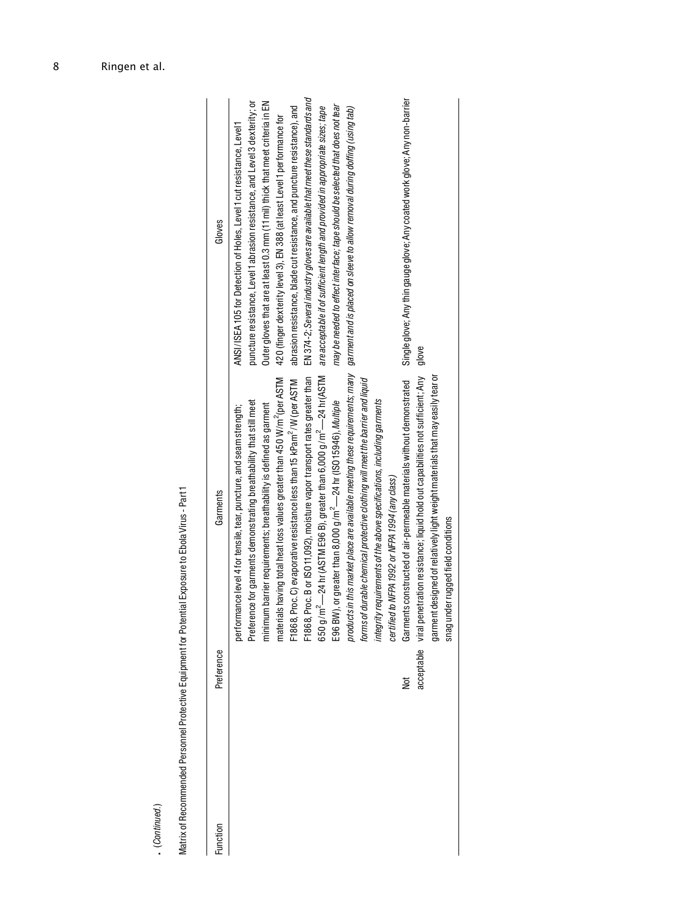. (Continued.) (Continued.)

Matrix of Recommended Personnel Protective Equipment for Potential Exposure to Ebola Virus - Part 1 Matrix of Recommended Personnel Protective Equipment for Potential Exposure to Ebola Virus - Part1

| Function | Preference               | Garments                                                                                                                                                                                                                                                                                                                                                                                                                                                                                                                                                                                                                                                                                                                                                                                                                                                                                                                                                                                                                                                                                                                                                                                         | Gloves                                                                                                                                                                                                                                                                                                                                                                                                                                                                                                                                                                                                                                                                                                                                                                                                                                                                                         |
|----------|--------------------------|--------------------------------------------------------------------------------------------------------------------------------------------------------------------------------------------------------------------------------------------------------------------------------------------------------------------------------------------------------------------------------------------------------------------------------------------------------------------------------------------------------------------------------------------------------------------------------------------------------------------------------------------------------------------------------------------------------------------------------------------------------------------------------------------------------------------------------------------------------------------------------------------------------------------------------------------------------------------------------------------------------------------------------------------------------------------------------------------------------------------------------------------------------------------------------------------------|------------------------------------------------------------------------------------------------------------------------------------------------------------------------------------------------------------------------------------------------------------------------------------------------------------------------------------------------------------------------------------------------------------------------------------------------------------------------------------------------------------------------------------------------------------------------------------------------------------------------------------------------------------------------------------------------------------------------------------------------------------------------------------------------------------------------------------------------------------------------------------------------|
|          | acceptable<br><b>Jor</b> | 650 g/m <sup>2</sup> —24 hr (ASTM E96 B), greater than 6,000 g/m <sup>2</sup> —24 hr(ASTM<br>E96 BW), or greater than 8,000 g/m <sup>2</sup> —24 hr (ISO 15946), <i>Multiple</i><br>viral penetration resistance; liquid hold out capabilities not sufficient; Any<br>garment designed of relatively light weight materials that may easily tear or<br>materials having total heat loss values greater than 450 W/m <sup>&lt;</sup> (per ASTM<br>Proc. B or ISO 11,092), moisture vapor transport rates greater than<br>of durable chemical protective clothing will meet the barrier and liquid<br>Proc. C) evaporative resistance less than 15 kPam <sup>2</sup> /W (per ASTM<br>Garments constructed of air-permeable materials without demonstrated<br>integrity requirements of the above specifications, including garments<br>ence for garments demonstrating breathability that still meet<br>minimum barrier requirements; breathability is defined as garment<br>mance level 4 for tensile, tear, puncture, and seam strength;<br>certified to NFPA 1992 or NFPA 1994 (any class)<br>snag under rugged field conditions<br>F1868,<br>F1868,<br>produc<br>forms c<br>Prefere<br>pertori | EN 374-2; Several industry gloves are available that meet these standards and<br>Single glove; Any thin gauge glove; Any coated work glove; Any non-barrier<br>puncture resistance, Level 1 abrasion resistance, and Level 3 dexterity; or<br>Outer gloves that are at least 0.3 mm (11 mil) thick that meet criteria in EN<br>abrasion resistance, blade cut resistance, and puncture resistance), and<br>may be needed to effect interface; tape should be selected that does not tear<br>are acceptable if of sufficient length and provided in appropriate sizes; tape<br>cts in this market place are available meeting these requirements; many garment and is placed on sleeve to allow removal during doffing (using tab)<br>420 (finger dexterity level 3), EN 388 (at least Level 1 per formance for<br>ANSI/ISEA 105 for Detection of Holes, Level1 cut resistance, Level1<br>glove |
|          |                          |                                                                                                                                                                                                                                                                                                                                                                                                                                                                                                                                                                                                                                                                                                                                                                                                                                                                                                                                                                                                                                                                                                                                                                                                  |                                                                                                                                                                                                                                                                                                                                                                                                                                                                                                                                                                                                                                                                                                                                                                                                                                                                                                |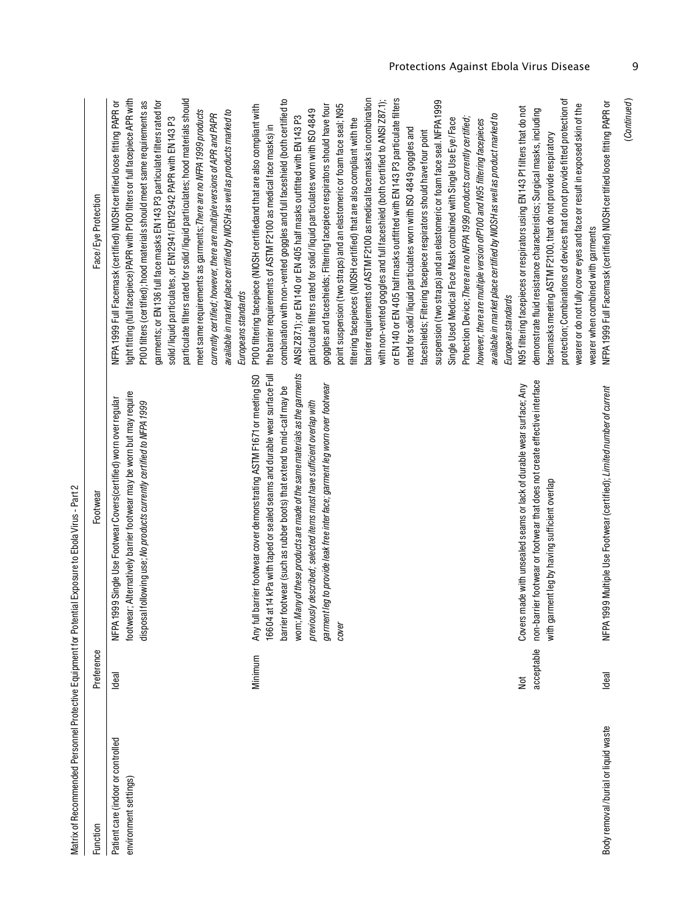|                                                             |                        | Matrix of Recommended Personnel Protective Equipment for Potential Exposure to Ebola Virus - Part 2                                                                                                                                                                                                                                                                                                                                                                                 |                                                                                                                                                                                                                                                                                                                                                                                                                                                                                                                                                                                                                                                                                                                                                                                                                                                                                                                                                                                                                                                                                                                                                                                                                                                                                                                                                                                                                  |
|-------------------------------------------------------------|------------------------|-------------------------------------------------------------------------------------------------------------------------------------------------------------------------------------------------------------------------------------------------------------------------------------------------------------------------------------------------------------------------------------------------------------------------------------------------------------------------------------|------------------------------------------------------------------------------------------------------------------------------------------------------------------------------------------------------------------------------------------------------------------------------------------------------------------------------------------------------------------------------------------------------------------------------------------------------------------------------------------------------------------------------------------------------------------------------------------------------------------------------------------------------------------------------------------------------------------------------------------------------------------------------------------------------------------------------------------------------------------------------------------------------------------------------------------------------------------------------------------------------------------------------------------------------------------------------------------------------------------------------------------------------------------------------------------------------------------------------------------------------------------------------------------------------------------------------------------------------------------------------------------------------------------|
| Function                                                    | Preference             | Footwear                                                                                                                                                                                                                                                                                                                                                                                                                                                                            | Face/Eye Protection                                                                                                                                                                                                                                                                                                                                                                                                                                                                                                                                                                                                                                                                                                                                                                                                                                                                                                                                                                                                                                                                                                                                                                                                                                                                                                                                                                                              |
| Patient care (indoor or controlled<br>environment settings) | Ideal                  | footwear; Alternatively barrier footwear may be worn but may require<br>NFPA 1999 Single Use Footwear Covers(certified) worn over regular<br>disposal following use; No products currently certified to NFPA 1999                                                                                                                                                                                                                                                                   | tight fitting (full facepiece) PAPR with P100 filters or full facepiece APR with<br>particulate filters rated for solid/liquid particulates; hood materials should<br>garments; or EN 136 full face masks EN 143 P3 particulate filters rated for<br>P100 filters (certified); hood materials should meet same requirements as<br>NFPA 1999 Full Facemask (certified) NIOSH certified loose fitting PAPR or<br>meet same requirements as garments; There are no NFPA 1999 products<br>available in market place certified by NIOSH as well as products marked to<br>currently certified; however, there are multiple versions of APR and PAPR<br>solid/liquid particulates, or EN12941/EN12942 PAPR with EN 143 P3<br>Europeans standards                                                                                                                                                                                                                                                                                                                                                                                                                                                                                                                                                                                                                                                                        |
|                                                             | Minimum                | 16604 at 14 kPa with taped or sealed seams and durable wear surface Full<br>worn; Many of these products are made of the same materials as the garments<br>barrier footwear cover demonstrating ASTM F1671 or meeting ISO<br>garment leg to provide leak free interface; garment leg worn over footwear<br>footwear (such as rubber boots) that extend to mid-calf may be<br>previously described; selected items must have sufficient overlap with<br>Any full<br>barrier<br>cover | barrier requirements of ASTMF2100 as medical face masks in combination<br>or EN 140 or EN 405 half masks outfitted with EN 143 P3 particulate filters<br>combination with non-vented goggles and full faceshield (both certified to<br>with non-vented goggles and full faceshield (both certified to ANSI Z87.1);<br>suspension (two straps) and an elastomeric or foam face seal. NFPA 1999<br>point suspension (two straps) and an elastomeric or foam face seal; N95<br>P100 filtering facepiece (NIOSH certifiedand that are also compliant with<br>goggles and faceshields; Filtering facepiece respirators should have four<br>particulate filters rated for solid/liquid particulates worn with ISO 4849<br>available in market place certified by NIOSH as well as product marked to<br>ANSI Z87.1); or EN 140 or EN 405 half masks outfitted with EN 143 P3<br>Protection Device; There are no NFPA 1999 products currently certified;<br>filtering facepieces (NIOSH certified) that are also compliant with the<br>Single Used Medical Face Mask combined with Single Use Eye/Face<br>however, there are multiple version ofP100 and N95 filtering facepieces<br>the barrier requirements of ASTM F2100 as medical face masks) in<br>rated for solid/liquid particulates worn with ISO 4849 goggles and<br>faceshields; Filtering facepiece respirators should have four point<br>European standards |
|                                                             | acceptable<br><b>b</b> | non-barrier footwear or footwear that does not create effective interface<br>Covers made with unsealed seams or lack of durable wear surface; Any<br>with garment leg by having sufficient overlap                                                                                                                                                                                                                                                                                  | protection; Combinations of devices that do not provide fitted protection of<br>wearer or do not fully cover eyes and face or result in exposed skin of the<br>N95 filtering facepieces or respirators using EN 143 P1 filters that do not<br>demonstrate fluid resistance characteristics; Surgical masks, including<br>facemasks meeting ASTM F2100, that do not provide respiratory                                                                                                                                                                                                                                                                                                                                                                                                                                                                                                                                                                                                                                                                                                                                                                                                                                                                                                                                                                                                                           |
| Body removal/burial or liquid waste                         | Ideal                  | NFPA 1999 Multiple Use Footwear (certified); <i>Limited number of current</i>                                                                                                                                                                                                                                                                                                                                                                                                       | NFPA 1999 Full Facemask (certified) NIOSH certified loose fitting PAPR or<br>wearer when combined with garments                                                                                                                                                                                                                                                                                                                                                                                                                                                                                                                                                                                                                                                                                                                                                                                                                                                                                                                                                                                                                                                                                                                                                                                                                                                                                                  |

(Continued )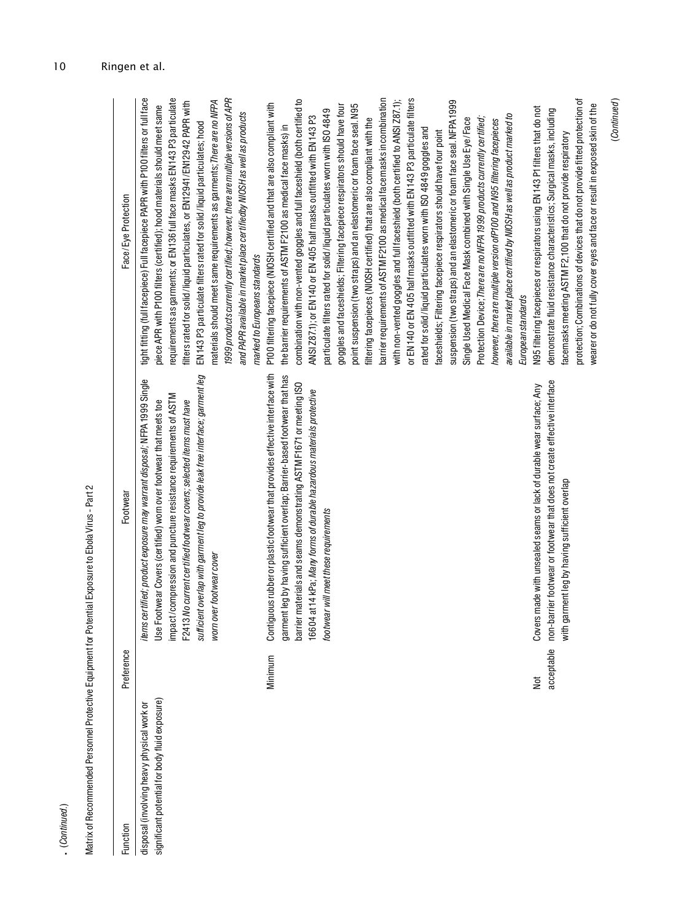. (Continued.) (Continued.)

Matrix of Recommended Personnel Protective Equipment for Potential Exposure to Ebola Virus - Part 2 Matrix of Recommended Personnel Protective Equipment for Potential Exposure to Ebola Virus - Part 2

| Function                                                                                     | Preference               | Footwear                                                                                                                                                                                                                                                                                                                                                                                                   | Face/Eye Protection                                                                                                                                                                                                                                                                                                                                                                                                                                                                                                                                                                                                                                                                                                                                                                                                                                                                                                                                                                                                                                                                                                                                                                                                                                                                                                                                                                                                |
|----------------------------------------------------------------------------------------------|--------------------------|------------------------------------------------------------------------------------------------------------------------------------------------------------------------------------------------------------------------------------------------------------------------------------------------------------------------------------------------------------------------------------------------------------|--------------------------------------------------------------------------------------------------------------------------------------------------------------------------------------------------------------------------------------------------------------------------------------------------------------------------------------------------------------------------------------------------------------------------------------------------------------------------------------------------------------------------------------------------------------------------------------------------------------------------------------------------------------------------------------------------------------------------------------------------------------------------------------------------------------------------------------------------------------------------------------------------------------------------------------------------------------------------------------------------------------------------------------------------------------------------------------------------------------------------------------------------------------------------------------------------------------------------------------------------------------------------------------------------------------------------------------------------------------------------------------------------------------------|
| significant potential for body fluid exposure)<br>disposal (involving heavy physical work or |                          | sufficient overlap with garment leg to provide leak free interface; garment leg<br>certified; product exposure may warrant disposal; NFPA 1999 Single<br>impact/compression and puncture resistance requirements of ASTM<br>F2413 No current certified footwear covers; selected items must have<br>Use Footwear Covers (certified) worn over footwear that meets toe<br>worn over footwear cover<br>items | tight fitting (full facepiece) Full facepiece PAPR with P100 filters or full face<br>1999 products currently certified; however, there are multiple versions of APR<br>requirements as garments; or EN 136 full face masks EN 143 P3 particulate<br>materials should meet same requirements as garments; There are no NFPA<br>filters rated for solid/liquid particulates, or EN12941/EN12942 PAPR with<br>piece APR with P100 filters (certified); hood materials should meet same<br>and PAPR available in market place certifiedby NIOSH as well as products<br>EN143 P3 particulate filters rated for solid/liquid particulates; hood<br>marked to Europeans standards                                                                                                                                                                                                                                                                                                                                                                                                                                                                                                                                                                                                                                                                                                                                         |
|                                                                                              | Minimum                  | Contiguous rubber or plastic footwear that provides effective interface with<br>garment leg by having sufficient overlap; Barrier-based footwear that has<br>barrier materials and seams demonstrating ASTM F1671 or meeting ISO<br>16604 at 14 kPa; Many forms of durable hazardous materials protective<br>footwear will meet these requirements                                                         | or EN 140 or EN 405 half masks outfitted with EN 143 P3 particulate filters<br>barrier requirements of ASTM F2100 as medical face masks in combination<br>combination with non-vented goggles and full faceshield (both certified to<br>with non-vented goggles and full faceshield (both certified to ANSI Z87.1);<br>suspension (two straps) and an elastomeric or foam face seal. NFPA 1999<br>P100 filtering facepiece (NIOSH certified and that are also compliant with<br>point suspension (two straps) and an elastomeric or foam face seal. N95<br>goggles and faceshields; Filtering facepiece respirators should have four<br>particulate filters rated for solid/liquid particulates worn with ISO 4849<br>available in market place certified by NIOSH as well as product marked to<br>ANSI Z87.1); or EN 140 or EN 405 half masks outfitted with EN 143 P3<br>Protection Device; There are no NFPA 1999 products currently certified;<br>filtering facepieces (NIOSH certified) that are also compliant with the<br>Single Used Medical Face Mask combined with Single Use Eye/Face<br>however, there are multiple version ofP100 and N95 filtering facepieces<br>the barrier requirements of ASTM F2100 as medical face masks) in<br>rated for solid/liquid particulates worn with ISO 4849 goggles and<br>faceshields; Filtering facepiece respirators should have four point<br>European standards |
|                                                                                              | acceptable<br><b>Not</b> | non-barrier footwear or footwear that does not create effective interface<br>Covers made with unsealed seams or lack of durable wear surface; Any<br>with garment leg by having sufficient overlap                                                                                                                                                                                                         | protection; Combinations of devices that do not provide fitted protection of<br>wearer or do not fully cover eyes and face or result in exposed skin of the<br>N95 filtering facepieces or respirators using EN 143 P1 filters that do not<br>demonstrate fluid resistance characteristics; Surgical masks, including<br>facemasks meeting ASTM F2,100 that do not provide respiratory                                                                                                                                                                                                                                                                                                                                                                                                                                                                                                                                                                                                                                                                                                                                                                                                                                                                                                                                                                                                                             |

(Continued )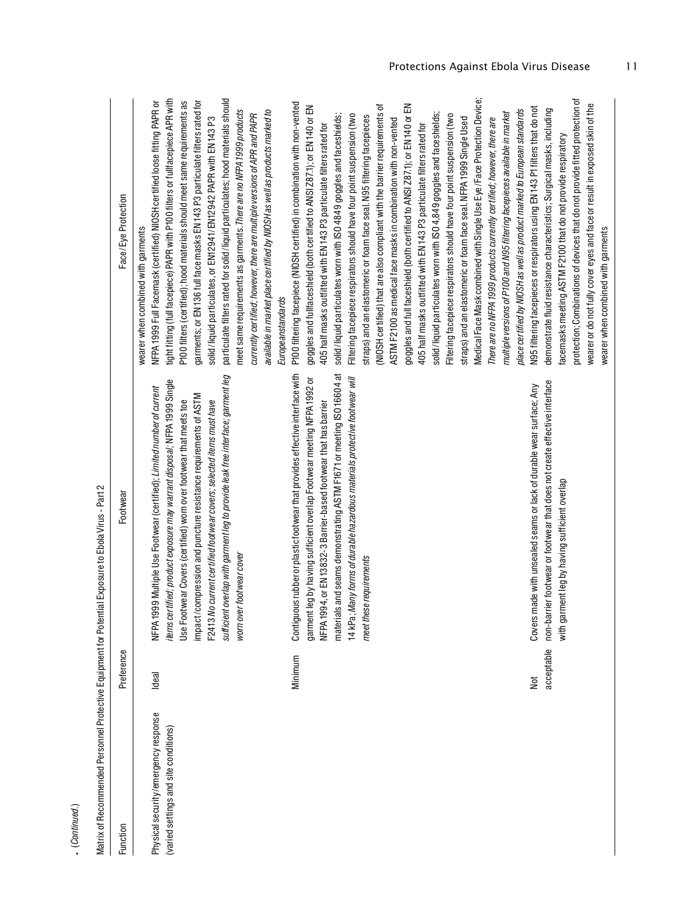|                                                                               |                        | Matrix of Recommended Personnel Protective Equipment for Potential Exposure to Ebola Virus - Part 2                                                                                                                                                                                                                                                                                                                                                                                               |                                                                                                                                                                                                                                                                                                                                                                                                                                                                                                                                                                                                                                                                                                                                                                                                                                                                                                                                                                                                                                                                                                                                                                                                                                                                                                               |
|-------------------------------------------------------------------------------|------------------------|---------------------------------------------------------------------------------------------------------------------------------------------------------------------------------------------------------------------------------------------------------------------------------------------------------------------------------------------------------------------------------------------------------------------------------------------------------------------------------------------------|---------------------------------------------------------------------------------------------------------------------------------------------------------------------------------------------------------------------------------------------------------------------------------------------------------------------------------------------------------------------------------------------------------------------------------------------------------------------------------------------------------------------------------------------------------------------------------------------------------------------------------------------------------------------------------------------------------------------------------------------------------------------------------------------------------------------------------------------------------------------------------------------------------------------------------------------------------------------------------------------------------------------------------------------------------------------------------------------------------------------------------------------------------------------------------------------------------------------------------------------------------------------------------------------------------------|
| Function                                                                      | Preference             | Footwear                                                                                                                                                                                                                                                                                                                                                                                                                                                                                          | Face/Eye Protection                                                                                                                                                                                                                                                                                                                                                                                                                                                                                                                                                                                                                                                                                                                                                                                                                                                                                                                                                                                                                                                                                                                                                                                                                                                                                           |
| Physical security/emergency response<br>(varied settings and site conditions) | Ideal                  | sufficient overlap with garment leg to provide leak free interface; garment leg<br>items certified; product exposure may warrant disposal; NFPA 1999 Single<br>1999 Multiple Use Footwear (certified); Limited number of current<br>impact/compression and puncture resistance requirements of ASTM<br>F2413 No current certified footwear covers; selected items must have<br>Use Footwear Covers (certified) worn over footwear that meets toe<br>worn over footwear cover<br>NFPA <sup>-</sup> | tight fitting (full facepiece) PAPR with P100 filters or fullfacepiece APR with<br>particulate filters rated for solid/liquid particulates; hood materials should<br>P100 filters (certified); hood materials should meet same requirements as<br>garments; or EN 136 full face masks EN 143 P3 particulate filters rated for<br>NFPA 1999 Full Facemask (certified) NIOSH certified loose fitting PAPR or<br>meet same requirements as garments. There are no NFPA 1999 products<br>available in market place certified by NIOSH as well as products marked to<br>currently certified; however, there are multiple versions of APR and PAPR<br>solid/liquid particulates, or EN12941/EN12942 PAPR with EN 143 P3<br>wearer when combined with garments<br>Europeanstandards                                                                                                                                                                                                                                                                                                                                                                                                                                                                                                                                  |
|                                                                               | Minimum                | materials and seams demonstrating ASTM F1671 or meeting ISO16604 at<br>Contiguous rubber or plastic footwear that provides effective interface with<br>14 kPa; Many forms of durable hazardous materials protective footwear will<br>garment leg by having sufficient overlap Footwear meeting NFPA 1992 or<br>1994, or EN 13832-3 Barrier-based footwear that has barrier<br>meet these requirements<br>NFPA <sup>-</sup>                                                                        | Medical Face Mask combined with Single Use Eye/Face Protection Device;<br>P100 filtering facepiece (NIOSH certified) in combination with non-vented<br>goggles and full faceshield (both certified to ANSI Z87.1); or EN 140 or EN<br>(NIOSH certified) that are also compliant with the barrier requirements of<br>goggles and fullfaceshield (both certified to ANSI Z87.1); or EN140 or EN<br>place certified by NIOSH as well as product marked to European standards<br>solid/liquid particulates worn with ISO 4,849 goggles and faceshields;<br>multiple versions of P100 and N95 filtering facepieces available in market<br>solid/liquid particulates worn with ISO 4849 goggles and faceshields;<br>Filtering facepiece respirators should have four point suspension (two<br>Filtering facepiece respirators should have four point suspension (two<br>straps) and an elastomeric or foam face seal. N95 filtering facepieces<br>straps) and an elastomeric or foam face seal. NFPA 1999 Single Used<br>There are no NFPA 1999 products currently certified; however, there are<br>ASTM F2100 as medical face masks in combination with non-vented<br>405 half masks outfitted with EN143 P3 particulate filters rated for<br>405 half masks outfitted with EN143 P3 particulate filters rated for |
|                                                                               | acceptable<br><b>S</b> | non-barrier footwear or footwear that does not create effective interface<br>Covers made with unsealed seams or lack of durable wear surface; Any<br>with garment leg by having sufficient overlap                                                                                                                                                                                                                                                                                                | protection; Combinations of devices that do not provide fitted protection of<br>wearer or do not fully cover eyes and face or result in exposed skin of the<br>N95 filtering facepieces or respirators using EN 143 P1 filters that do not<br>demonstrate fluid resistance characteristics; Surgical masks, including<br>facemasks meeting ASTM F2100 that do not provide respiratory<br>wearer when combined with garments                                                                                                                                                                                                                                                                                                                                                                                                                                                                                                                                                                                                                                                                                                                                                                                                                                                                                   |